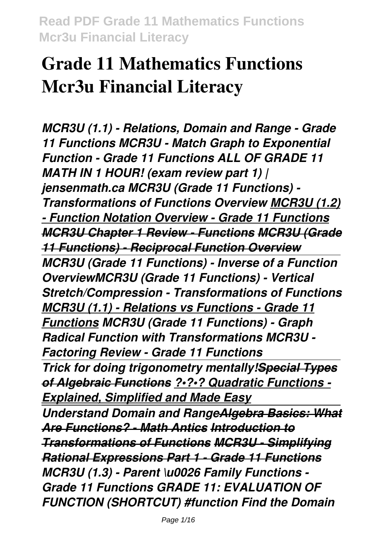*MCR3U (1.1) - Relations, Domain and Range - Grade 11 Functions MCR3U - Match Graph to Exponential Function - Grade 11 Functions ALL OF GRADE 11 MATH IN 1 HOUR! (exam review part 1) | jensenmath.ca MCR3U (Grade 11 Functions) - Transformations of Functions Overview MCR3U (1.2) - Function Notation Overview - Grade 11 Functions MCR3U Chapter 1 Review - Functions MCR3U (Grade 11 Functions) - Reciprocal Function Overview MCR3U (Grade 11 Functions) - Inverse of a Function OverviewMCR3U (Grade 11 Functions) - Vertical Stretch/Compression - Transformations of Functions MCR3U (1.1) - Relations vs Functions - Grade 11 Functions MCR3U (Grade 11 Functions) - Graph Radical Function with Transformations MCR3U - Factoring Review - Grade 11 Functions Trick for doing trigonometry mentally!Special Types of Algebraic Functions ?•?•? Quadratic Functions - Explained, Simplified and Made Easy Understand Domain and RangeAlgebra Basics: What Are Functions? - Math Antics Introduction to Transformations of Functions MCR3U - Simplifying Rational Expressions Part 1 - Grade 11 Functions MCR3U (1.3) - Parent \u0026 Family Functions - Grade 11 Functions GRADE 11: EVALUATION OF FUNCTION (SHORTCUT) #function Find the Domain*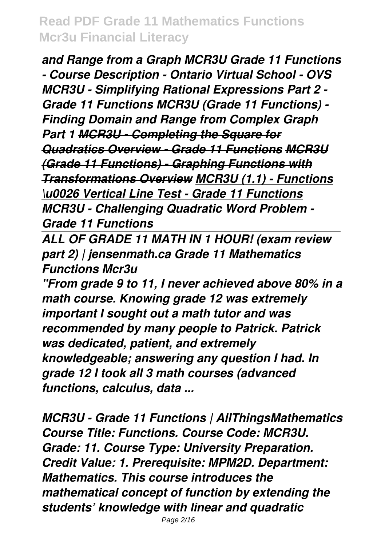*and Range from a Graph MCR3U Grade 11 Functions - Course Description - Ontario Virtual School - OVS MCR3U - Simplifying Rational Expressions Part 2 - Grade 11 Functions MCR3U (Grade 11 Functions) - Finding Domain and Range from Complex Graph Part 1 MCR3U - Completing the Square for Quadratics Overview - Grade 11 Functions MCR3U (Grade 11 Functions) - Graphing Functions with Transformations Overview MCR3U (1.1) - Functions \u0026 Vertical Line Test - Grade 11 Functions MCR3U - Challenging Quadratic Word Problem - Grade 11 Functions*

*ALL OF GRADE 11 MATH IN 1 HOUR! (exam review part 2) | jensenmath.ca Grade 11 Mathematics Functions Mcr3u*

*"From grade 9 to 11, I never achieved above 80% in a math course. Knowing grade 12 was extremely important I sought out a math tutor and was recommended by many people to Patrick. Patrick was dedicated, patient, and extremely knowledgeable; answering any question I had. In grade 12 I took all 3 math courses (advanced functions, calculus, data ...*

*MCR3U - Grade 11 Functions | AllThingsMathematics Course Title: Functions. Course Code: MCR3U. Grade: 11. Course Type: University Preparation. Credit Value: 1. Prerequisite: MPM2D. Department: Mathematics. This course introduces the mathematical concept of function by extending the students' knowledge with linear and quadratic*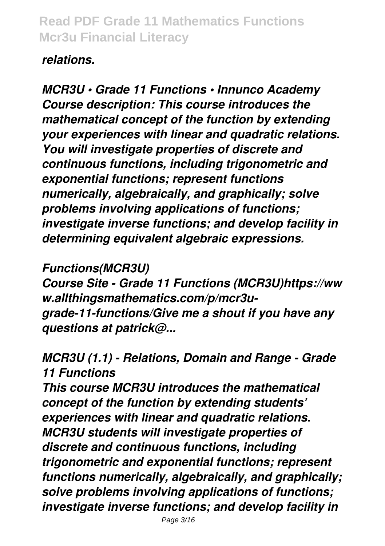#### *relations.*

*MCR3U • Grade 11 Functions • Innunco Academy Course description: This course introduces the mathematical concept of the function by extending your experiences with linear and quadratic relations. You will investigate properties of discrete and continuous functions, including trigonometric and exponential functions; represent functions numerically, algebraically, and graphically; solve problems involving applications of functions; investigate inverse functions; and develop facility in determining equivalent algebraic expressions.*

#### *Functions(MCR3U)*

*Course Site - Grade 11 Functions (MCR3U)https://ww w.allthingsmathematics.com/p/mcr3ugrade-11-functions/Give me a shout if you have any questions at patrick@...*

#### *MCR3U (1.1) - Relations, Domain and Range - Grade 11 Functions*

*This course MCR3U introduces the mathematical concept of the function by extending students' experiences with linear and quadratic relations. MCR3U students will investigate properties of discrete and continuous functions, including trigonometric and exponential functions; represent functions numerically, algebraically, and graphically; solve problems involving applications of functions; investigate inverse functions; and develop facility in*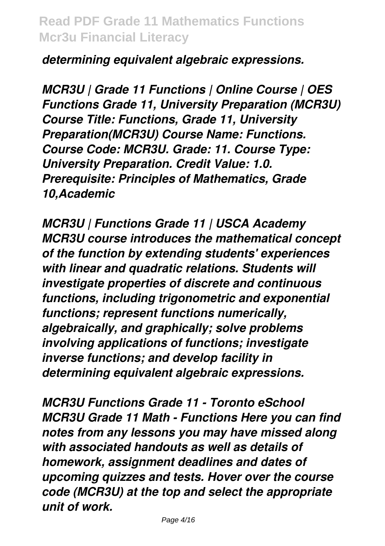*determining equivalent algebraic expressions.*

*MCR3U | Grade 11 Functions | Online Course | OES Functions Grade 11, University Preparation (MCR3U) Course Title: Functions, Grade 11, University Preparation(MCR3U) Course Name: Functions. Course Code: MCR3U. Grade: 11. Course Type: University Preparation. Credit Value: 1.0. Prerequisite: Principles of Mathematics, Grade 10,Academic*

*MCR3U | Functions Grade 11 | USCA Academy MCR3U course introduces the mathematical concept of the function by extending students' experiences with linear and quadratic relations. Students will investigate properties of discrete and continuous functions, including trigonometric and exponential functions; represent functions numerically, algebraically, and graphically; solve problems involving applications of functions; investigate inverse functions; and develop facility in determining equivalent algebraic expressions.*

*MCR3U Functions Grade 11 - Toronto eSchool MCR3U Grade 11 Math - Functions Here you can find notes from any lessons you may have missed along with associated handouts as well as details of homework, assignment deadlines and dates of upcoming quizzes and tests. Hover over the course code (MCR3U) at the top and select the appropriate unit of work.*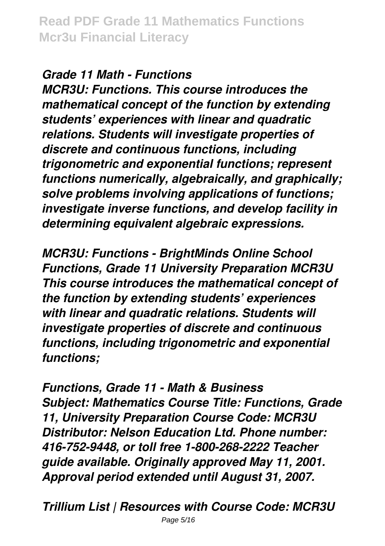*Grade 11 Math - Functions*

*MCR3U: Functions. This course introduces the mathematical concept of the function by extending students' experiences with linear and quadratic relations. Students will investigate properties of discrete and continuous functions, including trigonometric and exponential functions; represent functions numerically, algebraically, and graphically; solve problems involving applications of functions; investigate inverse functions, and develop facility in determining equivalent algebraic expressions.*

*MCR3U: Functions - BrightMinds Online School Functions, Grade 11 University Preparation MCR3U This course introduces the mathematical concept of the function by extending students' experiences with linear and quadratic relations. Students will investigate properties of discrete and continuous functions, including trigonometric and exponential functions;*

*Functions, Grade 11 - Math & Business Subject: Mathematics Course Title: Functions, Grade 11, University Preparation Course Code: MCR3U Distributor: Nelson Education Ltd. Phone number: 416-752-9448, or toll free 1-800-268-2222 Teacher guide available. Originally approved May 11, 2001. Approval period extended until August 31, 2007.*

*Trillium List | Resources with Course Code: MCR3U*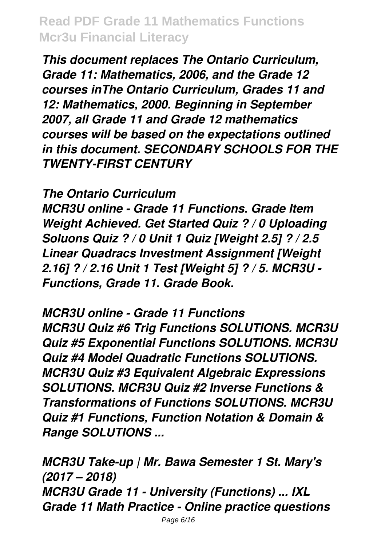*This document replaces The Ontario Curriculum, Grade 11: Mathematics, 2006, and the Grade 12 courses inThe Ontario Curriculum, Grades 11 and 12: Mathematics, 2000. Beginning in September 2007, all Grade 11 and Grade 12 mathematics courses will be based on the expectations outlined in this document. SECONDARY SCHOOLS FOR THE TWENTY-FIRST CENTURY*

*The Ontario Curriculum*

*MCR3U online - Grade 11 Functions. Grade Item Weight Achieved. Get Started Quiz ? / 0 Uploading Soluons Quiz ? / 0 Unit 1 Quiz [Weight 2.5] ? / 2.5 Linear Quadracs Investment Assignment [Weight 2.16] ? / 2.16 Unit 1 Test [Weight 5] ? / 5. MCR3U - Functions, Grade 11. Grade Book.*

*MCR3U online - Grade 11 Functions MCR3U Quiz #6 Trig Functions SOLUTIONS. MCR3U Quiz #5 Exponential Functions SOLUTIONS. MCR3U Quiz #4 Model Quadratic Functions SOLUTIONS. MCR3U Quiz #3 Equivalent Algebraic Expressions SOLUTIONS. MCR3U Quiz #2 Inverse Functions & Transformations of Functions SOLUTIONS. MCR3U Quiz #1 Functions, Function Notation & Domain & Range SOLUTIONS ...*

*MCR3U Take-up | Mr. Bawa Semester 1 St. Mary's (2017 – 2018) MCR3U Grade 11 - University (Functions) ... IXL Grade 11 Math Practice - Online practice questions*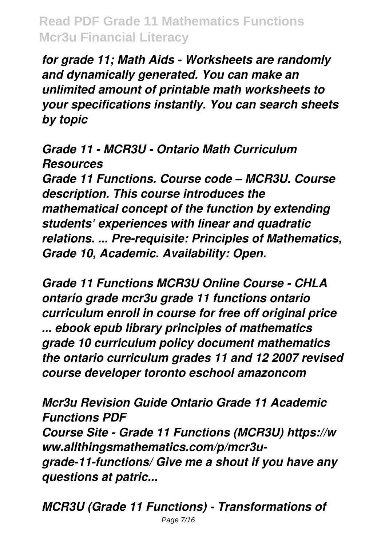*for grade 11; Math Aids - Worksheets are randomly and dynamically generated. You can make an unlimited amount of printable math worksheets to your specifications instantly. You can search sheets by topic*

*Grade 11 - MCR3U - Ontario Math Curriculum Resources*

*Grade 11 Functions. Course code – MCR3U. Course description. This course introduces the mathematical concept of the function by extending students' experiences with linear and quadratic relations. ... Pre-requisite: Principles of Mathematics, Grade 10, Academic. Availability: Open.*

*Grade 11 Functions MCR3U Online Course - CHLA ontario grade mcr3u grade 11 functions ontario curriculum enroll in course for free off original price ... ebook epub library principles of mathematics grade 10 curriculum policy document mathematics the ontario curriculum grades 11 and 12 2007 revised course developer toronto eschool amazoncom*

*Mcr3u Revision Guide Ontario Grade 11 Academic Functions PDF*

*Course Site - Grade 11 Functions (MCR3U) https://w ww.allthingsmathematics.com/p/mcr3ugrade-11-functions/ Give me a shout if you have any questions at patric...*

*MCR3U (Grade 11 Functions) - Transformations of*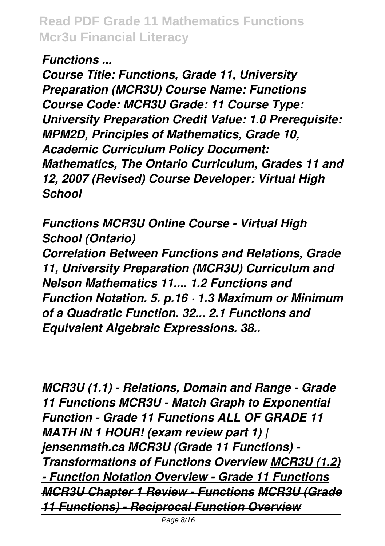*Functions ...*

*Course Title: Functions, Grade 11, University Preparation (MCR3U) Course Name: Functions Course Code: MCR3U Grade: 11 Course Type: University Preparation Credit Value: 1.0 Prerequisite: MPM2D, Principles of Mathematics, Grade 10, Academic Curriculum Policy Document: Mathematics, The Ontario Curriculum, Grades 11 and 12, 2007 (Revised) Course Developer: Virtual High School*

*Functions MCR3U Online Course - Virtual High School (Ontario) Correlation Between Functions and Relations, Grade 11, University Preparation (MCR3U) Curriculum and Nelson Mathematics 11.... 1.2 Functions and Function Notation. 5. p.16 · 1.3 Maximum or Minimum of a Quadratic Function. 32... 2.1 Functions and Equivalent Algebraic Expressions. 38..*

*MCR3U (1.1) - Relations, Domain and Range - Grade 11 Functions MCR3U - Match Graph to Exponential Function - Grade 11 Functions ALL OF GRADE 11 MATH IN 1 HOUR! (exam review part 1) | jensenmath.ca MCR3U (Grade 11 Functions) - Transformations of Functions Overview MCR3U (1.2) - Function Notation Overview - Grade 11 Functions MCR3U Chapter 1 Review - Functions MCR3U (Grade 11 Functions) - Reciprocal Function Overview*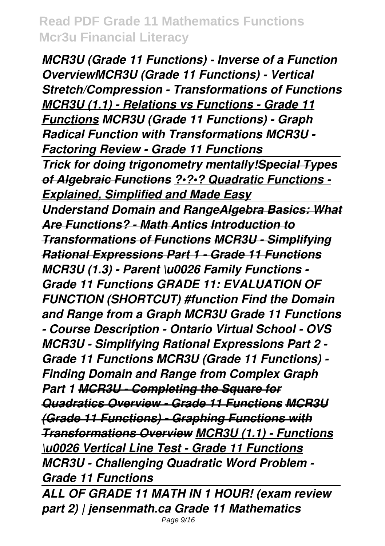*MCR3U (Grade 11 Functions) - Inverse of a Function OverviewMCR3U (Grade 11 Functions) - Vertical Stretch/Compression - Transformations of Functions MCR3U (1.1) - Relations vs Functions - Grade 11 Functions MCR3U (Grade 11 Functions) - Graph Radical Function with Transformations MCR3U - Factoring Review - Grade 11 Functions Trick for doing trigonometry mentally!Special Types of Algebraic Functions ?•?•? Quadratic Functions - Explained, Simplified and Made Easy Understand Domain and RangeAlgebra Basics: What Are Functions? - Math Antics Introduction to Transformations of Functions MCR3U - Simplifying Rational Expressions Part 1 - Grade 11 Functions MCR3U (1.3) - Parent \u0026 Family Functions - Grade 11 Functions GRADE 11: EVALUATION OF FUNCTION (SHORTCUT) #function Find the Domain and Range from a Graph MCR3U Grade 11 Functions - Course Description - Ontario Virtual School - OVS MCR3U - Simplifying Rational Expressions Part 2 - Grade 11 Functions MCR3U (Grade 11 Functions) - Finding Domain and Range from Complex Graph Part 1 MCR3U - Completing the Square for Quadratics Overview - Grade 11 Functions MCR3U (Grade 11 Functions) - Graphing Functions with Transformations Overview MCR3U (1.1) - Functions \u0026 Vertical Line Test - Grade 11 Functions MCR3U - Challenging Quadratic Word Problem - Grade 11 Functions ALL OF GRADE 11 MATH IN 1 HOUR! (exam review part 2) | jensenmath.ca Grade 11 Mathematics*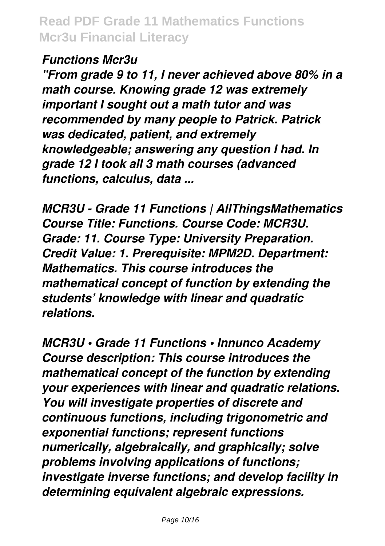#### *Functions Mcr3u*

*"From grade 9 to 11, I never achieved above 80% in a math course. Knowing grade 12 was extremely important I sought out a math tutor and was recommended by many people to Patrick. Patrick was dedicated, patient, and extremely knowledgeable; answering any question I had. In grade 12 I took all 3 math courses (advanced functions, calculus, data ...*

*MCR3U - Grade 11 Functions | AllThingsMathematics Course Title: Functions. Course Code: MCR3U. Grade: 11. Course Type: University Preparation. Credit Value: 1. Prerequisite: MPM2D. Department: Mathematics. This course introduces the mathematical concept of function by extending the students' knowledge with linear and quadratic relations.*

*MCR3U • Grade 11 Functions • Innunco Academy Course description: This course introduces the mathematical concept of the function by extending your experiences with linear and quadratic relations. You will investigate properties of discrete and continuous functions, including trigonometric and exponential functions; represent functions numerically, algebraically, and graphically; solve problems involving applications of functions; investigate inverse functions; and develop facility in determining equivalent algebraic expressions.*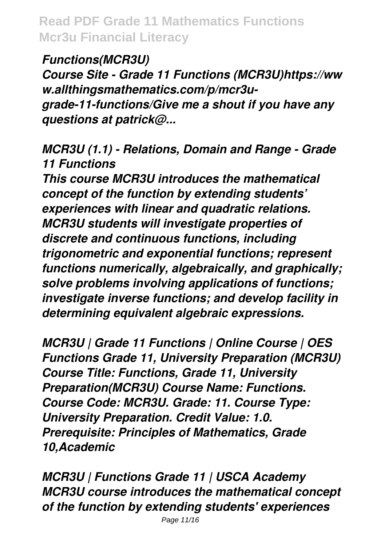*Functions(MCR3U) Course Site - Grade 11 Functions (MCR3U)https://ww w.allthingsmathematics.com/p/mcr3ugrade-11-functions/Give me a shout if you have any questions at patrick@...*

*MCR3U (1.1) - Relations, Domain and Range - Grade 11 Functions*

*This course MCR3U introduces the mathematical concept of the function by extending students' experiences with linear and quadratic relations. MCR3U students will investigate properties of discrete and continuous functions, including trigonometric and exponential functions; represent functions numerically, algebraically, and graphically; solve problems involving applications of functions; investigate inverse functions; and develop facility in determining equivalent algebraic expressions.*

*MCR3U | Grade 11 Functions | Online Course | OES Functions Grade 11, University Preparation (MCR3U) Course Title: Functions, Grade 11, University Preparation(MCR3U) Course Name: Functions. Course Code: MCR3U. Grade: 11. Course Type: University Preparation. Credit Value: 1.0. Prerequisite: Principles of Mathematics, Grade 10,Academic*

*MCR3U | Functions Grade 11 | USCA Academy MCR3U course introduces the mathematical concept of the function by extending students' experiences*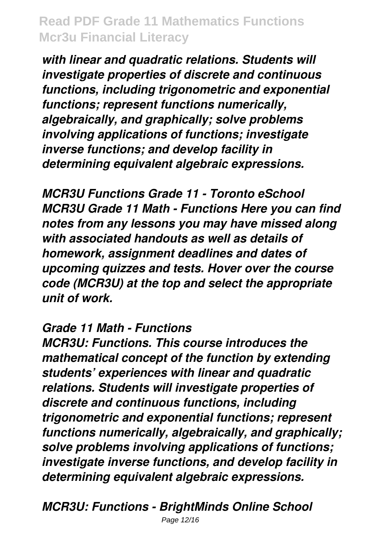*with linear and quadratic relations. Students will investigate properties of discrete and continuous functions, including trigonometric and exponential functions; represent functions numerically, algebraically, and graphically; solve problems involving applications of functions; investigate inverse functions; and develop facility in determining equivalent algebraic expressions.*

*MCR3U Functions Grade 11 - Toronto eSchool MCR3U Grade 11 Math - Functions Here you can find notes from any lessons you may have missed along with associated handouts as well as details of homework, assignment deadlines and dates of upcoming quizzes and tests. Hover over the course code (MCR3U) at the top and select the appropriate unit of work.*

#### *Grade 11 Math - Functions*

*MCR3U: Functions. This course introduces the mathematical concept of the function by extending students' experiences with linear and quadratic relations. Students will investigate properties of discrete and continuous functions, including trigonometric and exponential functions; represent functions numerically, algebraically, and graphically; solve problems involving applications of functions; investigate inverse functions, and develop facility in determining equivalent algebraic expressions.*

*MCR3U: Functions - BrightMinds Online School* Page 12/16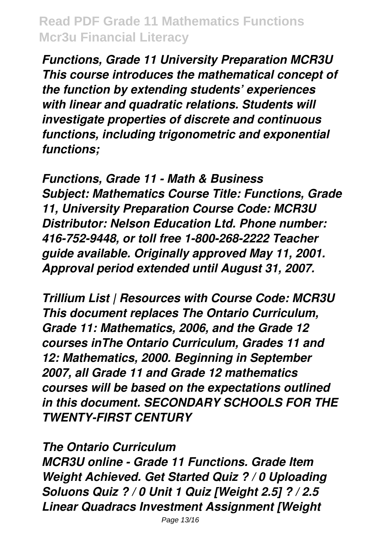*Functions, Grade 11 University Preparation MCR3U This course introduces the mathematical concept of the function by extending students' experiences with linear and quadratic relations. Students will investigate properties of discrete and continuous functions, including trigonometric and exponential functions;*

*Functions, Grade 11 - Math & Business Subject: Mathematics Course Title: Functions, Grade 11, University Preparation Course Code: MCR3U Distributor: Nelson Education Ltd. Phone number: 416-752-9448, or toll free 1-800-268-2222 Teacher guide available. Originally approved May 11, 2001. Approval period extended until August 31, 2007.*

*Trillium List | Resources with Course Code: MCR3U This document replaces The Ontario Curriculum, Grade 11: Mathematics, 2006, and the Grade 12 courses inThe Ontario Curriculum, Grades 11 and 12: Mathematics, 2000. Beginning in September 2007, all Grade 11 and Grade 12 mathematics courses will be based on the expectations outlined in this document. SECONDARY SCHOOLS FOR THE TWENTY-FIRST CENTURY*

*The Ontario Curriculum*

*MCR3U online - Grade 11 Functions. Grade Item Weight Achieved. Get Started Quiz ? / 0 Uploading Soluons Quiz ? / 0 Unit 1 Quiz [Weight 2.5] ? / 2.5 Linear Quadracs Investment Assignment [Weight*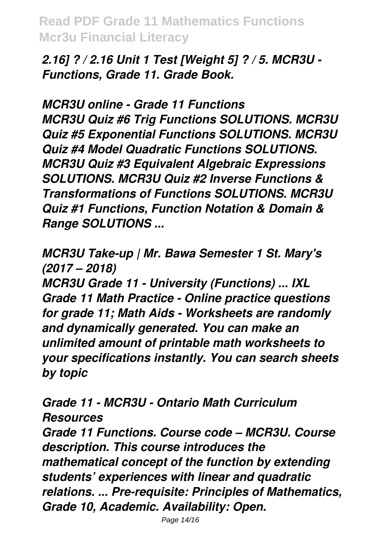*2.16] ? / 2.16 Unit 1 Test [Weight 5] ? / 5. MCR3U - Functions, Grade 11. Grade Book.*

*MCR3U online - Grade 11 Functions MCR3U Quiz #6 Trig Functions SOLUTIONS. MCR3U Quiz #5 Exponential Functions SOLUTIONS. MCR3U Quiz #4 Model Quadratic Functions SOLUTIONS. MCR3U Quiz #3 Equivalent Algebraic Expressions SOLUTIONS. MCR3U Quiz #2 Inverse Functions & Transformations of Functions SOLUTIONS. MCR3U Quiz #1 Functions, Function Notation & Domain & Range SOLUTIONS ...*

*MCR3U Take-up | Mr. Bawa Semester 1 St. Mary's (2017 – 2018)*

*MCR3U Grade 11 - University (Functions) ... IXL Grade 11 Math Practice - Online practice questions for grade 11; Math Aids - Worksheets are randomly and dynamically generated. You can make an unlimited amount of printable math worksheets to your specifications instantly. You can search sheets by topic*

*Grade 11 - MCR3U - Ontario Math Curriculum Resources*

*Grade 11 Functions. Course code – MCR3U. Course description. This course introduces the mathematical concept of the function by extending students' experiences with linear and quadratic relations. ... Pre-requisite: Principles of Mathematics, Grade 10, Academic. Availability: Open.*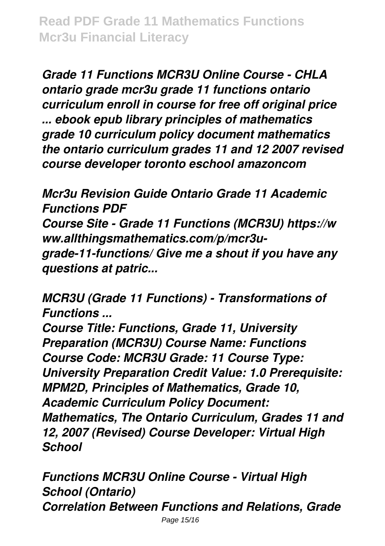*Grade 11 Functions MCR3U Online Course - CHLA ontario grade mcr3u grade 11 functions ontario curriculum enroll in course for free off original price ... ebook epub library principles of mathematics grade 10 curriculum policy document mathematics the ontario curriculum grades 11 and 12 2007 revised course developer toronto eschool amazoncom*

*Mcr3u Revision Guide Ontario Grade 11 Academic Functions PDF Course Site - Grade 11 Functions (MCR3U) https://w ww.allthingsmathematics.com/p/mcr3ugrade-11-functions/ Give me a shout if you have any questions at patric...*

*MCR3U (Grade 11 Functions) - Transformations of Functions ...*

*Course Title: Functions, Grade 11, University Preparation (MCR3U) Course Name: Functions Course Code: MCR3U Grade: 11 Course Type: University Preparation Credit Value: 1.0 Prerequisite: MPM2D, Principles of Mathematics, Grade 10, Academic Curriculum Policy Document: Mathematics, The Ontario Curriculum, Grades 11 and 12, 2007 (Revised) Course Developer: Virtual High School*

*Functions MCR3U Online Course - Virtual High School (Ontario) Correlation Between Functions and Relations, Grade*